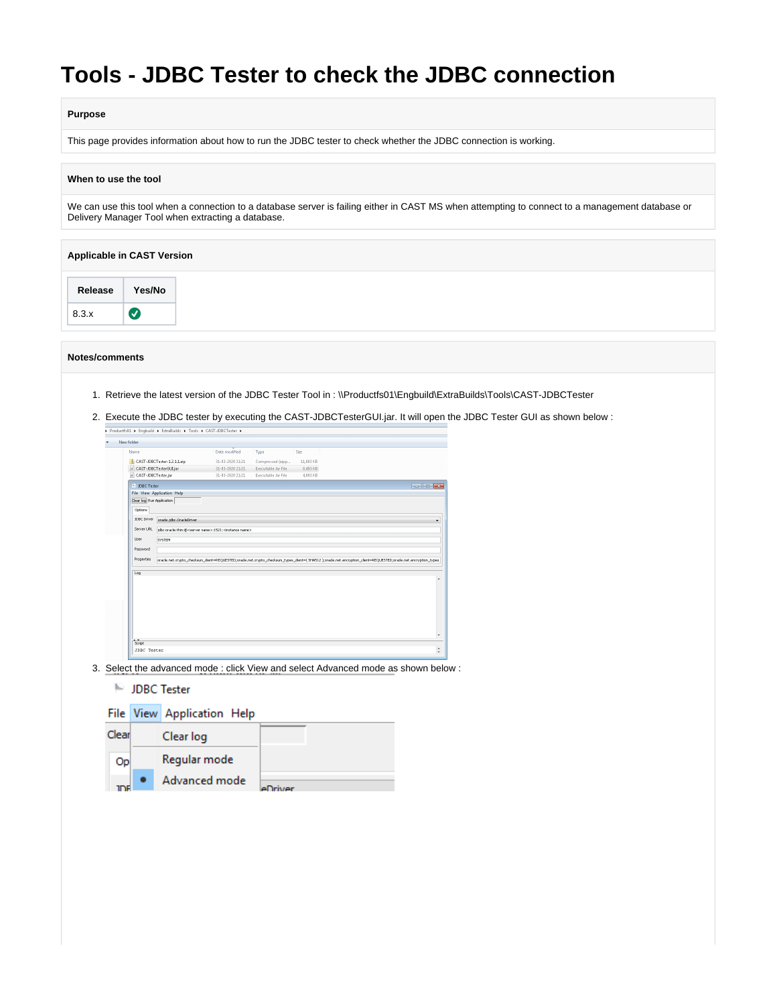# **Tools - JDBC Tester to check the JDBC connection**

## **Purpose**

This page provides information about how to run the JDBC tester to check whether the JDBC connection is working.

### **When to use the tool**

We can use this tool when a connection to a database server is failing either in CAST MS when attempting to connect to a management database or Delivery Manager Tool when extracting a database.

| <b>Applicable in CAST Version</b> |                                   |
|-----------------------------------|-----------------------------------|
| Release                           | Yes/No                            |
| 8.3.x                             | $\left( \bigtriangledown \right)$ |

#### **Notes/comments**

- 1. Retrieve the latest version of the JDBC Tester Tool in : \\Productfs01\Engbuild\ExtraBuilds\Tools\CAST-JDBCTester
- 2. Execute the JDBC tester by executing the CAST-JDBCTesterGUI.jar. It will open the JDBC Tester GUI as shown below :

| Name                      |                             | Date modified                                                                  | Type                | Size      |                                                                                                                                                                  |                                                                |
|---------------------------|-----------------------------|--------------------------------------------------------------------------------|---------------------|-----------|------------------------------------------------------------------------------------------------------------------------------------------------------------------|----------------------------------------------------------------|
|                           | CAST-JDBCTester-1.2.1.1.zip | 31-03-2020 21:21                                                               | Compressed (zipp    | 11.803 KB |                                                                                                                                                                  |                                                                |
|                           | CAST-JDBCTesterGULjar       | 31-03-2020 21:21                                                               | Executable Jar File | 8,493 KB  |                                                                                                                                                                  |                                                                |
| CAST-JDBCTester.jar       |                             | 31-03-2020 21:21                                                               | Executable Jar File | 4,003 KB  |                                                                                                                                                                  |                                                                |
| IN JDBC Tester            |                             |                                                                                |                     |           |                                                                                                                                                                  | $\overline{\bullet}$ $\overline{\bullet}$ $\overline{\bullet}$ |
|                           | File View Application Help  |                                                                                |                     |           |                                                                                                                                                                  |                                                                |
| Clear log Run Application |                             |                                                                                |                     |           |                                                                                                                                                                  |                                                                |
| Options                   |                             |                                                                                |                     |           |                                                                                                                                                                  |                                                                |
| JDBC Driver               | orade.jdbc.OradeDriver      |                                                                                |                     |           |                                                                                                                                                                  |                                                                |
| Server URL                |                             | jdbc:orade:thin:@ <server name="">:1521:<instance name=""></instance></server> |                     |           |                                                                                                                                                                  |                                                                |
| User                      | <b>SYSTEM</b>               |                                                                                |                     |           |                                                                                                                                                                  |                                                                |
| Password                  |                             |                                                                                |                     |           |                                                                                                                                                                  |                                                                |
| <b>Properties</b>         |                             |                                                                                |                     |           | oracle.net.orypto_checksum_client=REQUESTED;oracle.net.orypto_checksum_types_client=(SHAS12 );oracle.net.encryption_client=REQUESTED;oracle.net.encryption_types |                                                                |
|                           |                             |                                                                                |                     |           |                                                                                                                                                                  |                                                                |
|                           |                             |                                                                                |                     |           |                                                                                                                                                                  |                                                                |
| Log                       |                             |                                                                                |                     |           |                                                                                                                                                                  |                                                                |
|                           |                             |                                                                                |                     |           |                                                                                                                                                                  |                                                                |
|                           |                             |                                                                                |                     |           |                                                                                                                                                                  |                                                                |
|                           |                             |                                                                                |                     |           |                                                                                                                                                                  |                                                                |
|                           |                             |                                                                                |                     |           |                                                                                                                                                                  |                                                                |
|                           |                             |                                                                                |                     |           |                                                                                                                                                                  |                                                                |
|                           |                             |                                                                                |                     |           |                                                                                                                                                                  |                                                                |
|                           |                             |                                                                                |                     |           |                                                                                                                                                                  |                                                                |

3. Select the advanced mode : click View and select Advanced mode as shown below :

## **IDBC** Tester

|       | File View Application Help |       |
|-------|----------------------------|-------|
| Clear | Clear log                  |       |
| Op    | Regular mode               |       |
|       | Advanced mode              | iv/er |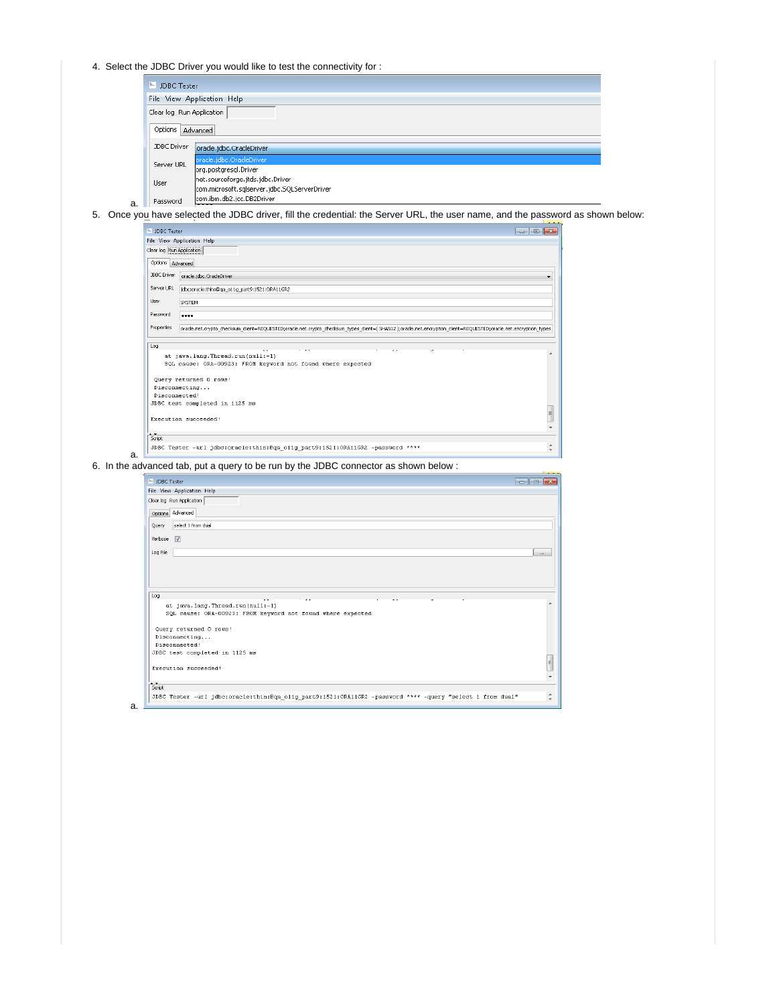4. Select the JDBC Driver you would like to test the connectivity for :

|   | IN JDBC Tester            |                                              |
|---|---------------------------|----------------------------------------------|
|   |                           | File View Application Help                   |
|   | Clear log Run Application |                                              |
|   | Options                   | Advanced                                     |
|   | JDBC Driver               | oracle.jdbc.OracleDriver                     |
|   | Server URL                | oracle.jdbc.OracleDriver                     |
|   |                           | org.postgresgl.Driver                        |
|   | User                      | net.sourceforge.jtds.jdbc.Driver             |
|   |                           | com.microsoft.sqlserver.jdbc.SQLServerDriver |
| a | Password                  | com.ibm.db2.jcc.DB2Driver                    |

a.

5. Once you have selected the JDBC driver, fill the credential: the Server URL, the user name, and the password as shown below:

| IN JDBC Tester     |                                                                                                                                                             | $\mathbf{x}$<br>$\overline{\phantom{a}}$ |
|--------------------|-------------------------------------------------------------------------------------------------------------------------------------------------------------|------------------------------------------|
|                    | File View Application Help                                                                                                                                  |                                          |
|                    | Clear log Run Application                                                                                                                                   |                                          |
|                    | Options Advanced                                                                                                                                            |                                          |
| JDBC Driver        | oracle.idbc.OracleDriver                                                                                                                                    |                                          |
| Server URL         | jdbc:oracle:thin:@ga_o11g_part9:1521:ORA11GR2                                                                                                               |                                          |
| User               | SYSTEM                                                                                                                                                      |                                          |
| Password           |                                                                                                                                                             |                                          |
| Properties         | orade.net.crypto_checksum_client=REQUESTED;orade.net.crypto_checksum_types_client=(SHA512);orade.net.encryption_client=REQUESTED;orade.net.encryption_types |                                          |
| Log                |                                                                                                                                                             |                                          |
|                    | at java.lang.Thread.run(null:-1)                                                                                                                            | $\blacktriangle$                         |
|                    | SQL cause: ORA-00923: FROM keyword not found where expected                                                                                                 |                                          |
|                    | Query returned 0 rows!                                                                                                                                      |                                          |
|                    | Disconnecting                                                                                                                                               |                                          |
|                    | Disconnected!                                                                                                                                               |                                          |
|                    | JDBC test completed in 1125 ms                                                                                                                              |                                          |
|                    |                                                                                                                                                             | $\equiv$                                 |
|                    | Execution succeeded!                                                                                                                                        |                                          |
|                    |                                                                                                                                                             |                                          |
| $rac{1}{\sqrt{2}}$ |                                                                                                                                                             |                                          |
|                    | JDBC Tester -url jdbc:oracle:thin:@ga oilg part9:1521:ORA11GR2 -password ****                                                                               | $\blacktriangle$                         |

6. In the advanced tab, put a query to be run by the JDBC connector as shown below :

|                    | IN IDBC Tester                                              |  |
|--------------------|-------------------------------------------------------------|--|
|                    | File View Application Help                                  |  |
|                    | Clear log Run Application                                   |  |
|                    | Options Advanced                                            |  |
| Query              | select 1 from dual                                          |  |
| Verbose V          |                                                             |  |
| Log File           |                                                             |  |
|                    |                                                             |  |
|                    |                                                             |  |
|                    |                                                             |  |
| Log                |                                                             |  |
|                    |                                                             |  |
|                    | at java.lang.Thread.run(null:-1)                            |  |
|                    | SQL cause: ORA-00923: FROM keyword not found where expected |  |
|                    | Query returned 0 rows!                                      |  |
|                    | Disconnecting                                               |  |
|                    | Disconnected!                                               |  |
|                    | JDBC test completed in 1125 ms                              |  |
|                    | Execution succeeded!                                        |  |
|                    |                                                             |  |
| $rac{1}{\sqrt{2}}$ |                                                             |  |